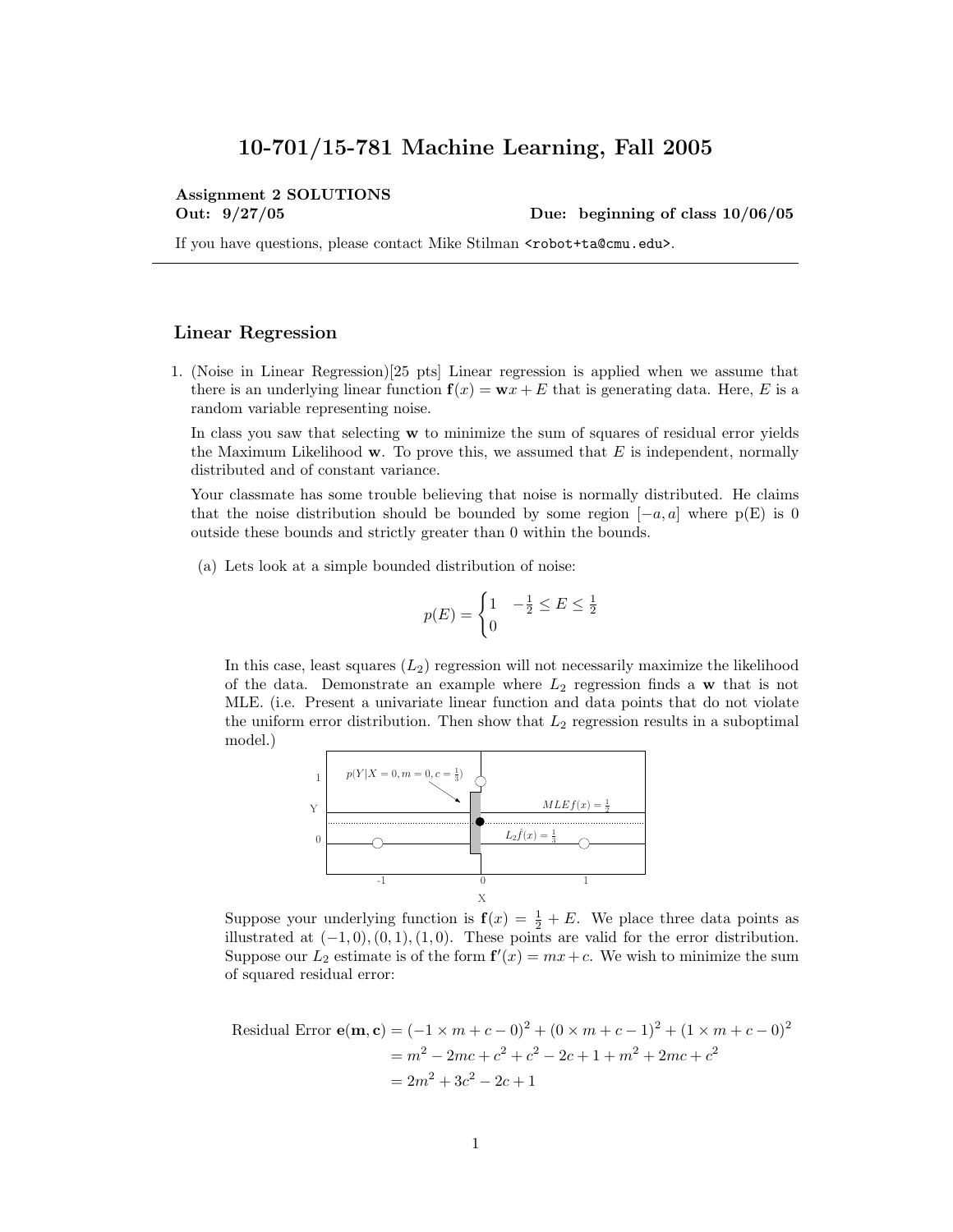## 10-701/15-781 Machine Learning, Fall 2005

# Assignment 2 SOLUTIONS

Out: 9/27/05 Due: beginning of class 10/06/05

If you have questions, please contact Mike Stilman <robot+ta@cmu.edu>.

### Linear Regression

1. (Noise in Linear Regression)[25 pts] Linear regression is applied when we assume that there is an underlying linear function  $f(x) = \mathbf{w}x + E$  that is generating data. Here, E is a random variable representing noise.

In class you saw that selecting **w** to minimize the sum of squares of residual error yields the Maximum Likelihood  $\bf{w}$ . To prove this, we assumed that  $E$  is independent, normally distributed and of constant variance.

Your classmate has some trouble believing that noise is normally distributed. He claims that the noise distribution should be bounded by some region  $[-a, a]$  where  $p(E)$  is 0 outside these bounds and strictly greater than 0 within the bounds.

(a) Lets look at a simple bounded distribution of noise:

$$
p(E) = \begin{cases} 1 & -\frac{1}{2} \le E \le \frac{1}{2} \\ 0 & \end{cases}
$$

In this case, least squares  $(L_2)$  regression will not necessarily maximize the likelihood of the data. Demonstrate an example where  $L_2$  regression finds a w that is not MLE. (i.e. Present a univariate linear function and data points that do not violate the uniform error distribution. Then show that  $L_2$  regression results in a suboptimal model.)



Suppose your underlying function is  $f(x) = \frac{1}{2} + E$ . We place three data points as illustrated at  $(-1, 0), (0, 1), (1, 0)$ . These points are valid for the error distribution. Suppose our  $L_2$  estimate is of the form  $f'(x) = mx + c$ . We wish to minimize the sum of squared residual error:

Residual Error 
$$
\mathbf{e(m, c)} = (-1 \times m + c - 0)^2 + (0 \times m + c - 1)^2 + (1 \times m + c - 0)^2
$$
  
=  $m^2 - 2mc + c^2 + c^2 - 2c + 1 + m^2 + 2mc + c^2$   
=  $2m^2 + 3c^2 - 2c + 1$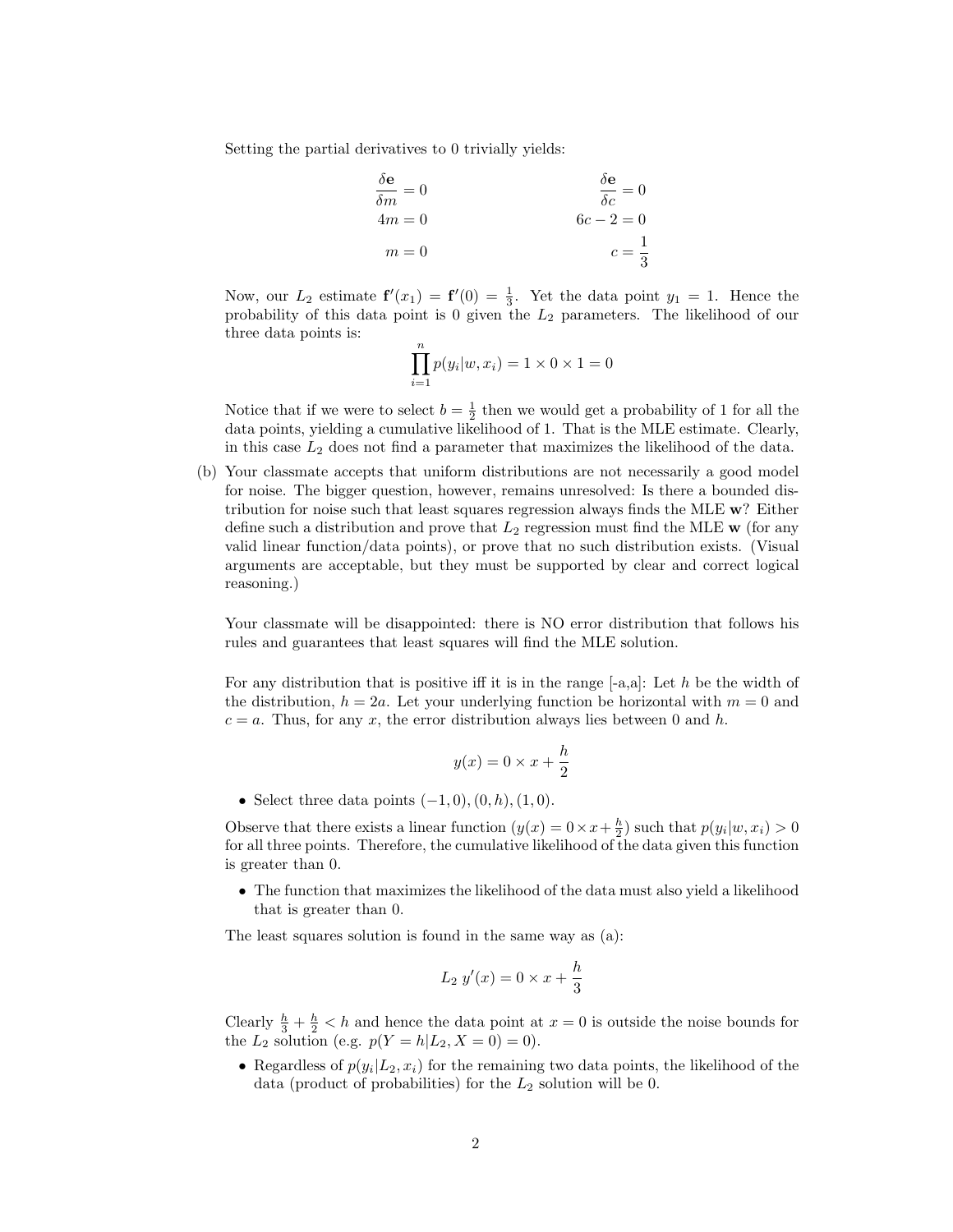Setting the partial derivatives to 0 trivially yields:

$$
\frac{\delta \mathbf{e}}{\delta m} = 0
$$
  
\n
$$
4m = 0
$$
  
\n
$$
m = 0
$$
  
\n
$$
\frac{\delta \mathbf{e}}{\delta c} = 0
$$
  
\n
$$
6c - 2 = 0
$$
  
\n
$$
c = \frac{1}{3}
$$

Now, our  $L_2$  estimate  $f'(x_1) = f'(0) = \frac{1}{3}$ . Yet the data point  $y_1 = 1$ . Hence the probability of this data point is  $0$  given the  $L_2$  parameters. The likelihood of our three data points is:

$$
\prod_{i=1}^{n} p(y_i|w, x_i) = 1 \times 0 \times 1 = 0
$$

Notice that if we were to select  $b = \frac{1}{2}$  then we would get a probability of 1 for all the data points, yielding a cumulative likelihood of 1. That is the MLE estimate. Clearly, in this case  $L_2$  does not find a parameter that maximizes the likelihood of the data.

(b) Your classmate accepts that uniform distributions are not necessarily a good model for noise. The bigger question, however, remains unresolved: Is there a bounded distribution for noise such that least squares regression always finds the MLE  $\mathbf{w}$ ? Either define such a distribution and prove that  $L_2$  regression must find the MLE w (for any valid linear function/data points), or prove that no such distribution exists. (Visual arguments are acceptable, but they must be supported by clear and correct logical reasoning.)

Your classmate will be disappointed: there is NO error distribution that follows his rules and guarantees that least squares will find the MLE solution.

For any distribution that is positive iff it is in the range  $[-a,a]$ : Let h be the width of the distribution,  $h = 2a$ . Let your underlying function be horizontal with  $m = 0$  and  $c = a$ . Thus, for any x, the error distribution always lies between 0 and h.

$$
y(x) = 0 \times x + \frac{h}{2}
$$

• Select three data points  $(-1,0), (0,h), (1,0)$ .

Observe that there exists a linear function  $(y(x) = 0 \times x + \frac{h}{2})$  such that  $p(y_i|w, x_i) > 0$ for all three points. Therefore, the cumulative likelihood of the data given this function is greater than 0.

• The function that maximizes the likelihood of the data must also yield a likelihood that is greater than 0.

The least squares solution is found in the same way as (a):

$$
L_2 y'(x) = 0 \times x + \frac{h}{3}
$$

Clearly  $\frac{h}{3} + \frac{h}{2} < h$  and hence the data point at  $x = 0$  is outside the noise bounds for the  $L_2$  solution (e.g.  $p(Y = h | L_2, X = 0) = 0$ ).

• Regardless of  $p(y_i|L_2, x_i)$  for the remaining two data points, the likelihood of the data (product of probabilities) for the  $L_2$  solution will be 0.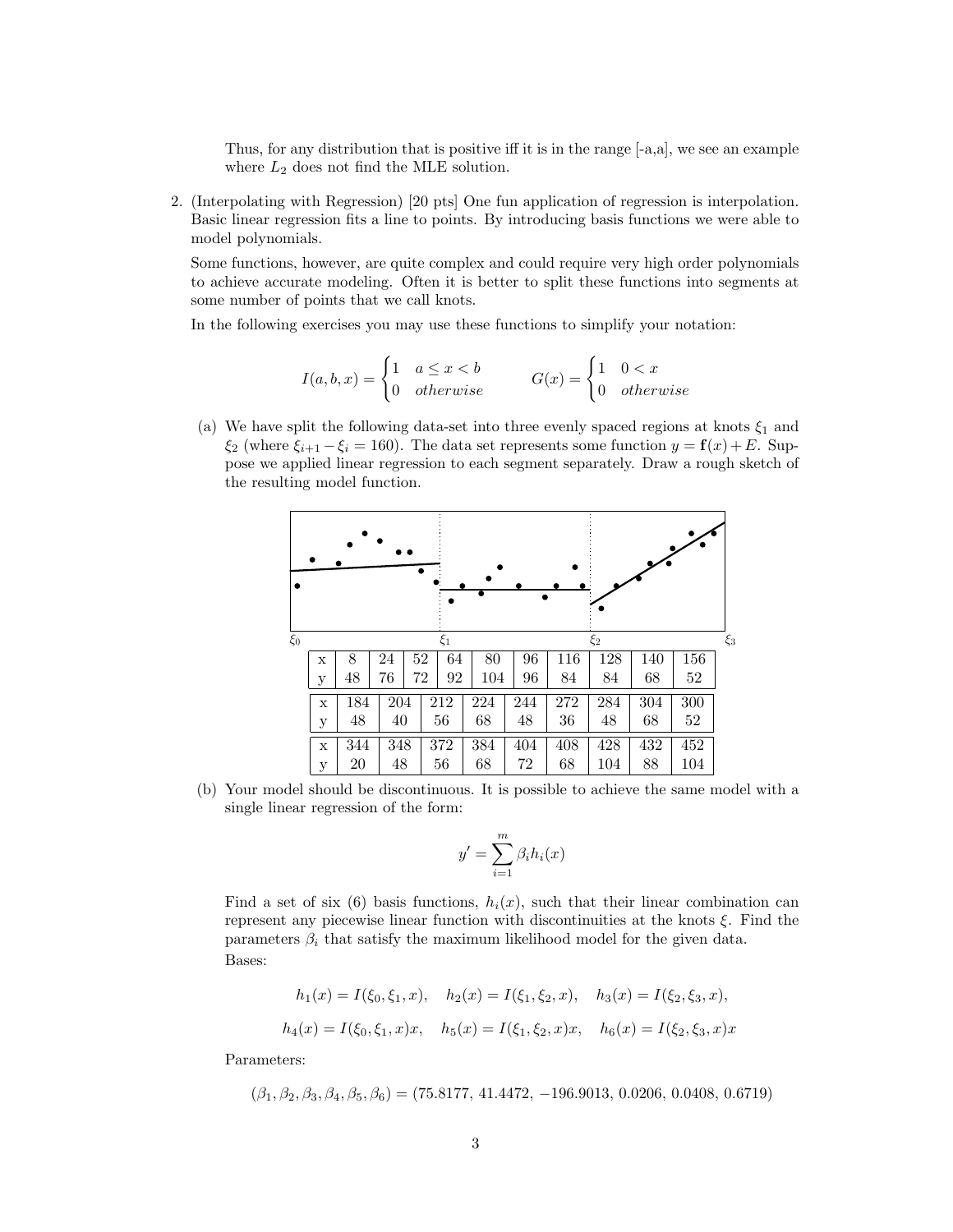Thus, for any distribution that is positive iff it is in the range [-a,a], we see an example where  $L_2$  does not find the MLE solution.

2. (Interpolating with Regression) [20 pts] One fun application of regression is interpolation. Basic linear regression fits a line to points. By introducing basis functions we were able to model polynomials.

Some functions, however, are quite complex and could require very high order polynomials to achieve accurate modeling. Often it is better to split these functions into segments at some number of points that we call knots.

In the following exercises you may use these functions to simplify your notation:

$$
I(a, b, x) = \begin{cases} 1 & a \le x < b \\ 0 & otherwise \end{cases} \qquad G(x) = \begin{cases} 1 & 0 < x \\ 0 & otherwise \end{cases}
$$

(a) We have split the following data-set into three evenly spaced regions at knots  $\xi_1$  and  $\xi_2$  (where  $\xi_{i+1} - \xi_i = 160$ ). The data set represents some function  $y = f(x) + E$ . Suppose we applied linear regression to each segment separately. Draw a rough sketch of the resulting model function.



(b) Your model should be discontinuous. It is possible to achieve the same model with a single linear regression of the form:

$$
y' = \sum_{i=1}^{m} \beta_i h_i(x)
$$

Find a set of six (6) basis functions,  $h_i(x)$ , such that their linear combination can represent any piecewise linear function with discontinuities at the knots ξ. Find the parameters  $\beta_i$  that satisfy the maximum likelihood model for the given data. Bases:

$$
h_1(x) = I(\xi_0, \xi_1, x), \quad h_2(x) = I(\xi_1, \xi_2, x), \quad h_3(x) = I(\xi_2, \xi_3, x),
$$
  

$$
h_4(x) = I(\xi_0, \xi_1, x)x, \quad h_5(x) = I(\xi_1, \xi_2, x)x, \quad h_6(x) = I(\xi_2, \xi_3, x)x
$$

Parameters:

$$
(\beta_1, \beta_2, \beta_3, \beta_4, \beta_5, \beta_6) = (75.8177, 41.4472, -196.9013, 0.0206, 0.0408, 0.6719)
$$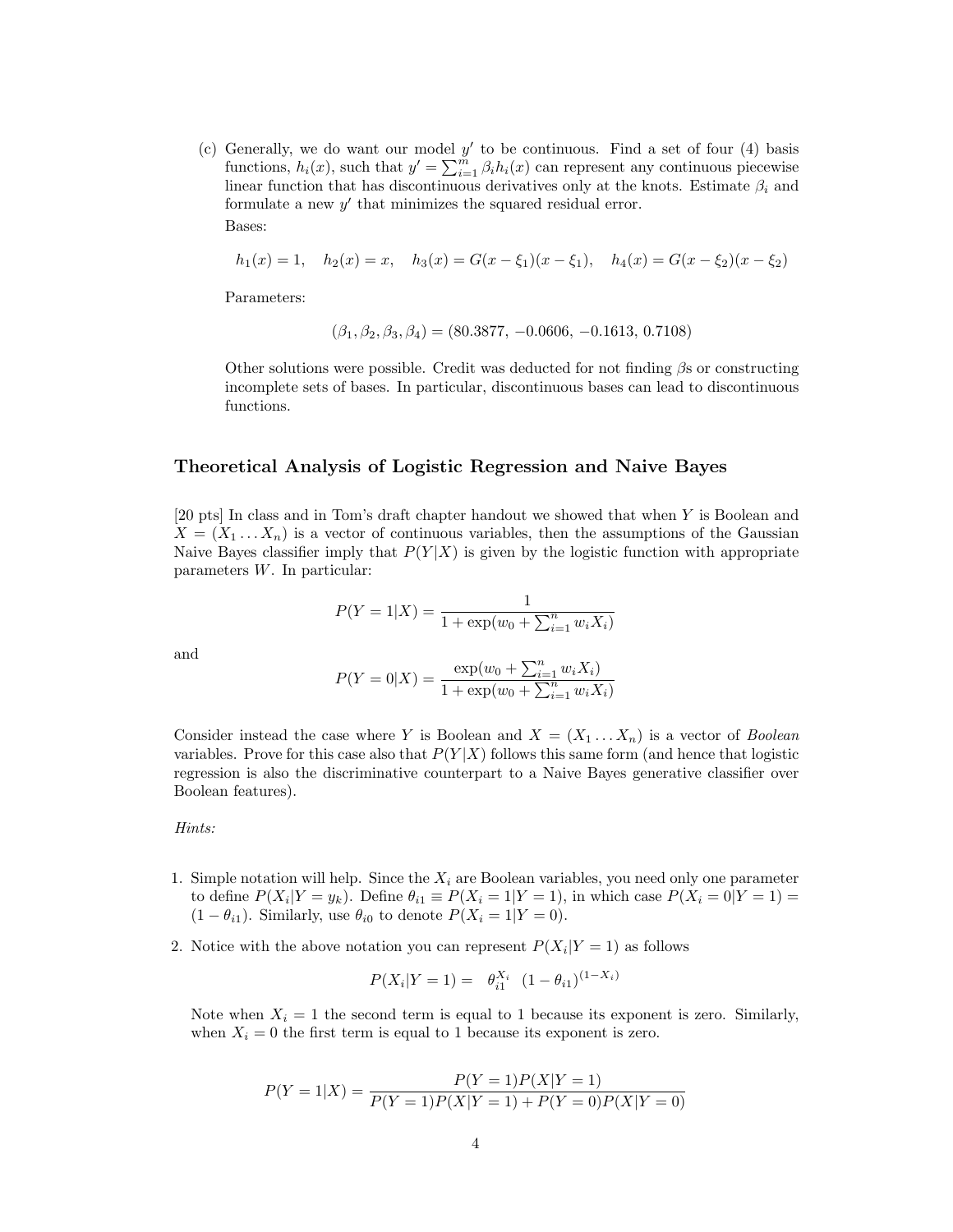(c) Generally, we do want our model  $y'$  to be continuous. Find a set of four (4) basis functions,  $h_i(x)$ , such that  $y' = \sum_{i=1}^{m} \beta_i h_i(x)$  can represent any continuous piecewise linear function that has discontinuous derivatives only at the knots. Estimate  $\beta_i$  and formulate a new  $y'$  that minimizes the squared residual error. Bases:

 $h_1(x) = 1$ ,  $h_2(x) = x$ ,  $h_3(x) = G(x - \xi_1)(x - \xi_1)$ ,  $h_4(x) = G(x - \xi_2)(x - \xi_2)$ 

Parameters:

$$
(\beta_1, \beta_2, \beta_3, \beta_4) = (80.3877, -0.0606, -0.1613, 0.7108)
$$

Other solutions were possible. Credit was deducted for not finding  $\beta$ s or constructing incomplete sets of bases. In particular, discontinuous bases can lead to discontinuous functions.

### Theoretical Analysis of Logistic Regression and Naive Bayes

[20 pts] In class and in Tom's draft chapter handout we showed that when Y is Boolean and  $X = (X_1 \dots X_n)$  is a vector of continuous variables, then the assumptions of the Gaussian Naive Bayes classifier imply that  $P(Y|X)$  is given by the logistic function with appropriate parameters W. In particular:

$$
P(Y = 1|X) = \frac{1}{1 + \exp(w_0 + \sum_{i=1}^n w_i X_i)}
$$

and

$$
P(Y = 0|X) = \frac{\exp(w_0 + \sum_{i=1}^n w_i X_i)}{1 + \exp(w_0 + \sum_{i=1}^n w_i X_i)}
$$

Consider instead the case where Y is Boolean and  $X = (X_1 \dots X_n)$  is a vector of *Boolean* variables. Prove for this case also that  $P(Y|X)$  follows this same form (and hence that logistic regression is also the discriminative counterpart to a Naive Bayes generative classifier over Boolean features).

#### Hints:

- 1. Simple notation will help. Since the  $X_i$  are Boolean variables, you need only one parameter to define  $P(X_i|Y=y_k)$ . Define  $\theta_{i1} \equiv P(X_i=1|Y=1)$ , in which case  $P(X_i=0|Y=1)$  $(1 - \theta_{i1})$ . Similarly, use  $\theta_{i0}$  to denote  $P(X_i = 1 | Y = 0)$ .
- 2. Notice with the above notation you can represent  $P(X_i|Y=1)$  as follows

$$
P(X_i|Y=1) = \theta_{i1}^{X_i} (1 - \theta_{i1})^{(1 - X_i)}
$$

Note when  $X_i = 1$  the second term is equal to 1 because its exponent is zero. Similarly, when  $X_i = 0$  the first term is equal to 1 because its exponent is zero.

$$
P(Y = 1|X) = \frac{P(Y = 1)P(X|Y = 1)}{P(Y = 1)P(X|Y = 1) + P(Y = 0)P(X|Y = 0)}
$$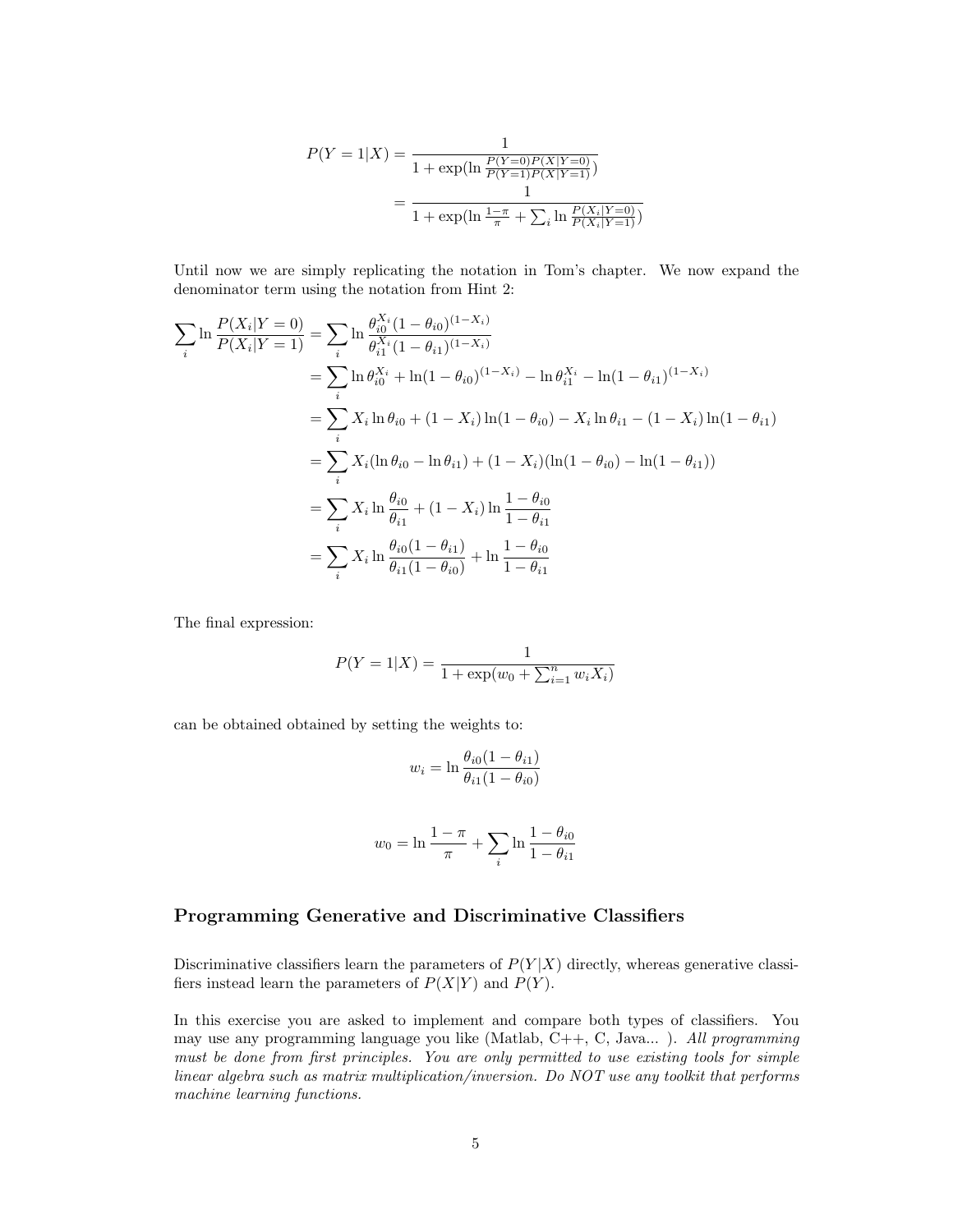$$
P(Y = 1|X) = \frac{1}{1 + \exp(\ln \frac{P(Y=0)P(X|Y=0)}{P(Y=1)P(X|Y=1)})}
$$
  
= 
$$
\frac{1}{1 + \exp(\ln \frac{1-\pi}{\pi} + \sum_{i} \ln \frac{P(X_i|Y=0)}{P(X_i|Y=1)})}
$$

Until now we are simply replicating the notation in Tom's chapter. We now expand the denominator term using the notation from Hint 2:

$$
\sum_{i} \ln \frac{P(X_i|Y=0)}{P(X_i|Y=1)} = \sum_{i} \ln \frac{\theta_{i0}^{X_i}(1-\theta_{i0})^{(1-X_i)}}{\theta_{i1}^{X_i}(1-\theta_{i1})^{(1-X_i)}}
$$
  
\n
$$
= \sum_{i} \ln \theta_{i0}^{X_i} + \ln(1-\theta_{i0})^{(1-X_i)} - \ln \theta_{i1}^{X_i} - \ln(1-\theta_{i1})^{(1-X_i)}
$$
  
\n
$$
= \sum_{i} X_i \ln \theta_{i0} + (1-X_i) \ln(1-\theta_{i0}) - X_i \ln \theta_{i1} - (1-X_i) \ln(1-\theta_{i1})
$$
  
\n
$$
= \sum_{i} X_i (\ln \theta_{i0} - \ln \theta_{i1}) + (1-X_i) (\ln(1-\theta_{i0}) - \ln(1-\theta_{i1}))
$$
  
\n
$$
= \sum_{i} X_i \ln \frac{\theta_{i0}}{\theta_{i1}} + (1-X_i) \ln \frac{1-\theta_{i0}}{1-\theta_{i1}}
$$
  
\n
$$
= \sum_{i} X_i \ln \frac{\theta_{i0}(1-\theta_{i1})}{\theta_{i1}(1-\theta_{i0})} + \ln \frac{1-\theta_{i0}}{1-\theta_{i1}}
$$

The final expression:

$$
P(Y = 1|X) = \frac{1}{1 + \exp(w_0 + \sum_{i=1}^n w_i X_i)}
$$

can be obtained obtained by setting the weights to:

$$
w_i = \ln \frac{\theta_{i0}(1 - \theta_{i1})}{\theta_{i1}(1 - \theta_{i0})}
$$

$$
w_0 = \ln \frac{1 - \pi}{\pi} + \sum_{i} \ln \frac{1 - \theta_{i0}}{1 - \theta_{i1}}
$$

### Programming Generative and Discriminative Classifiers

Discriminative classifiers learn the parameters of  $P(Y|X)$  directly, whereas generative classifiers instead learn the parameters of  $P(X|Y)$  and  $P(Y)$ .

In this exercise you are asked to implement and compare both types of classifiers. You may use any programming language you like (Matlab,  $C++, C, Java...$ ). All programming must be done from first principles. You are only permitted to use existing tools for simple linear algebra such as matrix multiplication/inversion. Do NOT use any toolkit that performs machine learning functions.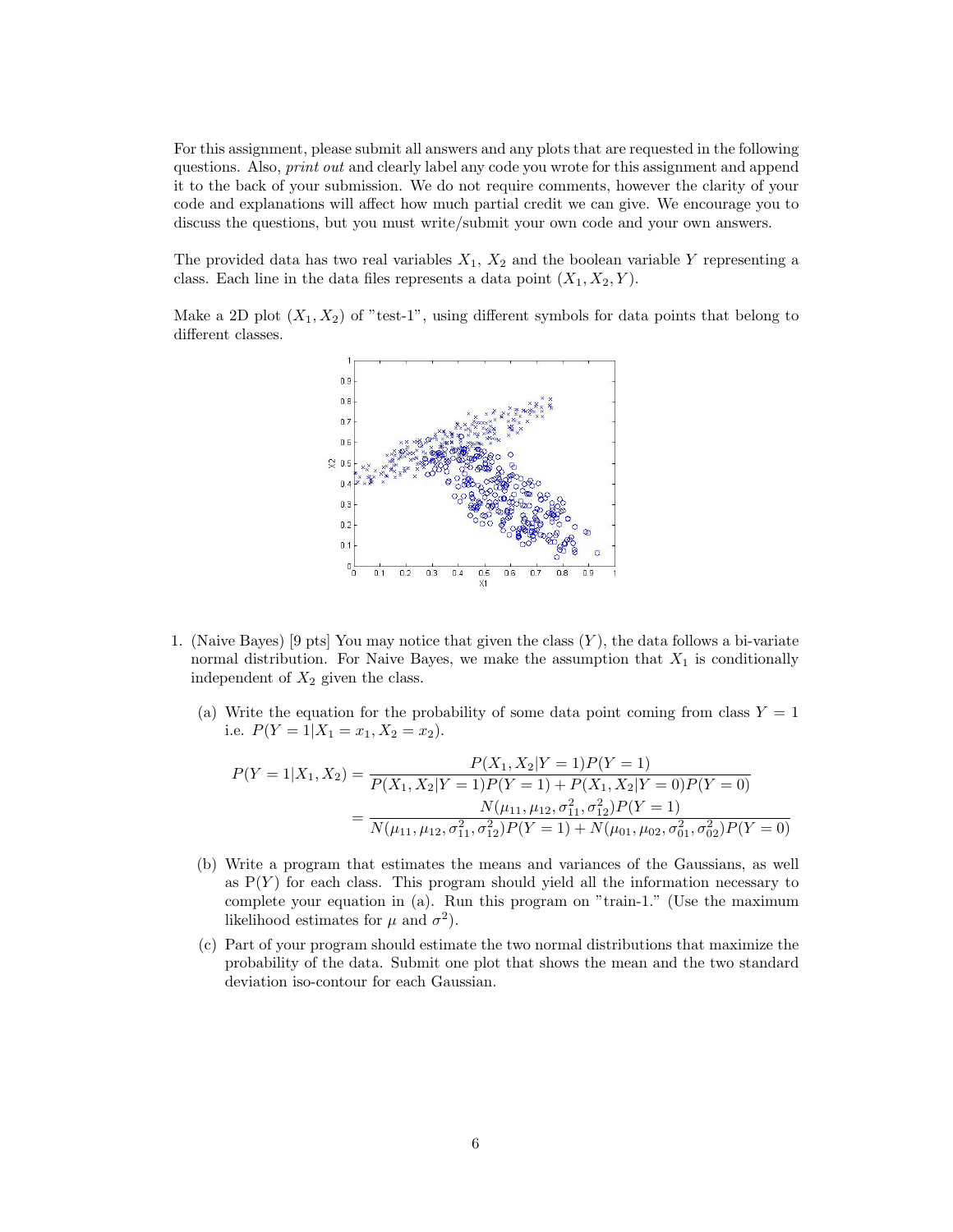For this assignment, please submit all answers and any plots that are requested in the following questions. Also, print out and clearly label any code you wrote for this assignment and append it to the back of your submission. We do not require comments, however the clarity of your code and explanations will affect how much partial credit we can give. We encourage you to discuss the questions, but you must write/submit your own code and your own answers.

The provided data has two real variables  $X_1, X_2$  and the boolean variable Y representing a class. Each line in the data files represents a data point  $(X_1, X_2, Y)$ .

Make a 2D plot  $(X_1, X_2)$  of "test-1", using different symbols for data points that belong to different classes.



- 1. (Naive Bayes) [9 pts] You may notice that given the class  $(Y)$ , the data follows a bi-variate normal distribution. For Naive Bayes, we make the assumption that  $X_1$  is conditionally independent of  $X_2$  given the class.
	- (a) Write the equation for the probability of some data point coming from class  $Y = 1$ i.e.  $P(Y = 1 | X_1 = x_1, X_2 = x_2).$

$$
P(Y = 1|X_1, X_2) = \frac{P(X_1, X_2|Y=1)P(Y=1)}{P(X_1, X_2|Y=1)P(Y=1) + P(X_1, X_2|Y=0)P(Y=0)}
$$
  
= 
$$
\frac{N(\mu_{11}, \mu_{12}, \sigma_{11}^2, \sigma_{12}^2)P(Y=1)}{N(\mu_{11}, \mu_{12}, \sigma_{11}^2, \sigma_{12}^2)P(Y=1) + N(\mu_{01}, \mu_{02}, \sigma_{01}^2, \sigma_{02}^2)P(Y=0)}
$$

- (b) Write a program that estimates the means and variances of the Gaussians, as well as  $P(Y)$  for each class. This program should yield all the information necessary to complete your equation in (a). Run this program on "train-1." (Use the maximum likelihood estimates for  $\mu$  and  $\sigma^2$ ).
- (c) Part of your program should estimate the two normal distributions that maximize the probability of the data. Submit one plot that shows the mean and the two standard deviation iso-contour for each Gaussian.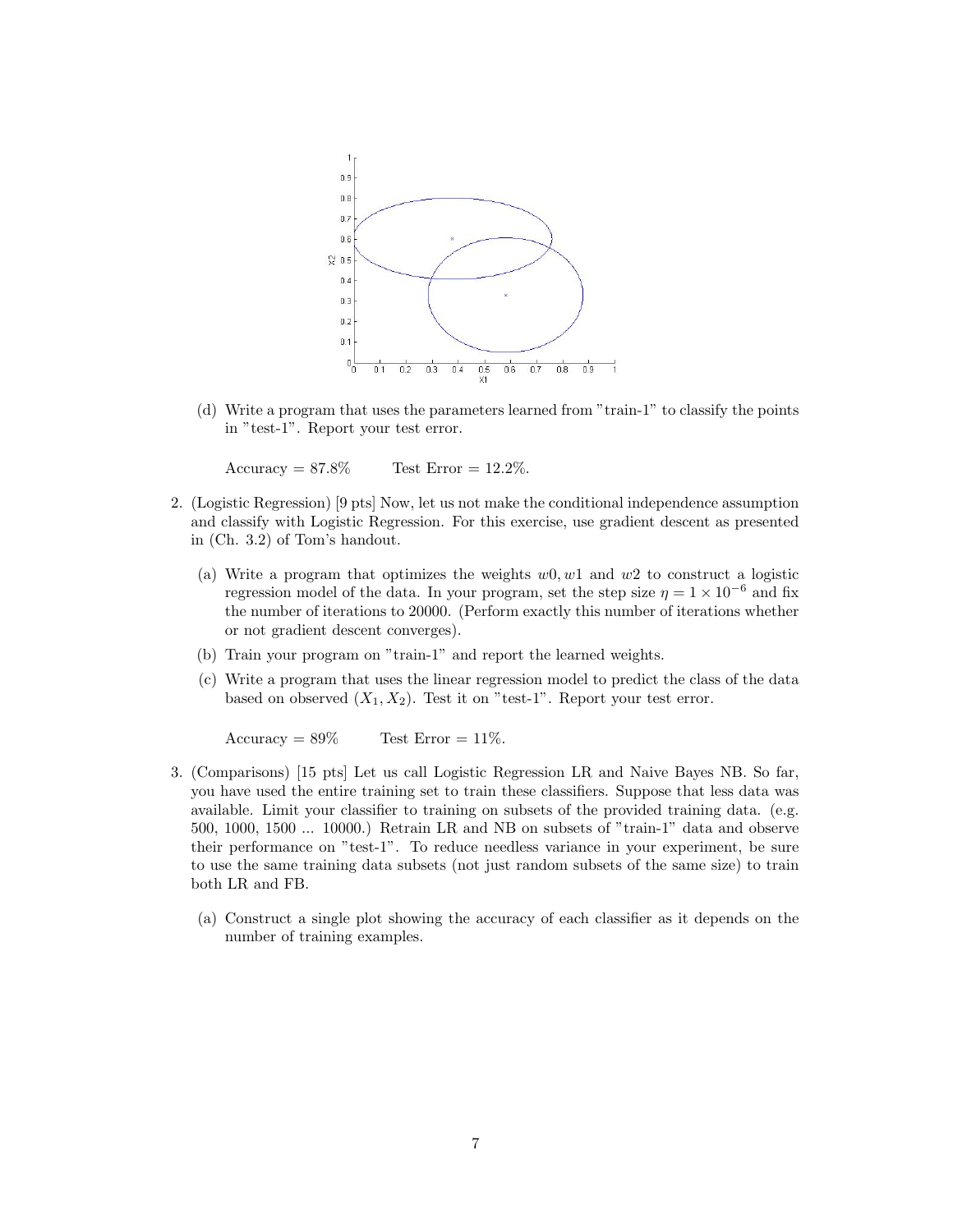

(d) Write a program that uses the parameters learned from "train-1" to classify the points in "test-1". Report your test error.

 $Accuracy = 87.8\%$  Test Error = 12.2%.

- 2. (Logistic Regression) [9 pts] Now, let us not make the conditional independence assumption and classify with Logistic Regression. For this exercise, use gradient descent as presented in (Ch. 3.2) of Tom's handout.
	- (a) Write a program that optimizes the weights  $w0, w1$  and  $w2$  to construct a logistic regression model of the data. In your program, set the step size  $\eta = 1 \times 10^{-6}$  and fix the number of iterations to 20000. (Perform exactly this number of iterations whether or not gradient descent converges).
	- (b) Train your program on "train-1" and report the learned weights.
	- (c) Write a program that uses the linear regression model to predict the class of the data based on observed  $(X_1, X_2)$ . Test it on "test-1". Report your test error.

Accuracy =  $89\%$  Test Error =  $11\%$ .

- 3. (Comparisons) [15 pts] Let us call Logistic Regression LR and Naive Bayes NB. So far, you have used the entire training set to train these classifiers. Suppose that less data was available. Limit your classifier to training on subsets of the provided training data. (e.g. 500, 1000, 1500 ... 10000.) Retrain LR and NB on subsets of "train-1" data and observe their performance on "test-1". To reduce needless variance in your experiment, be sure to use the same training data subsets (not just random subsets of the same size) to train both LR and FB.
	- (a) Construct a single plot showing the accuracy of each classifier as it depends on the number of training examples.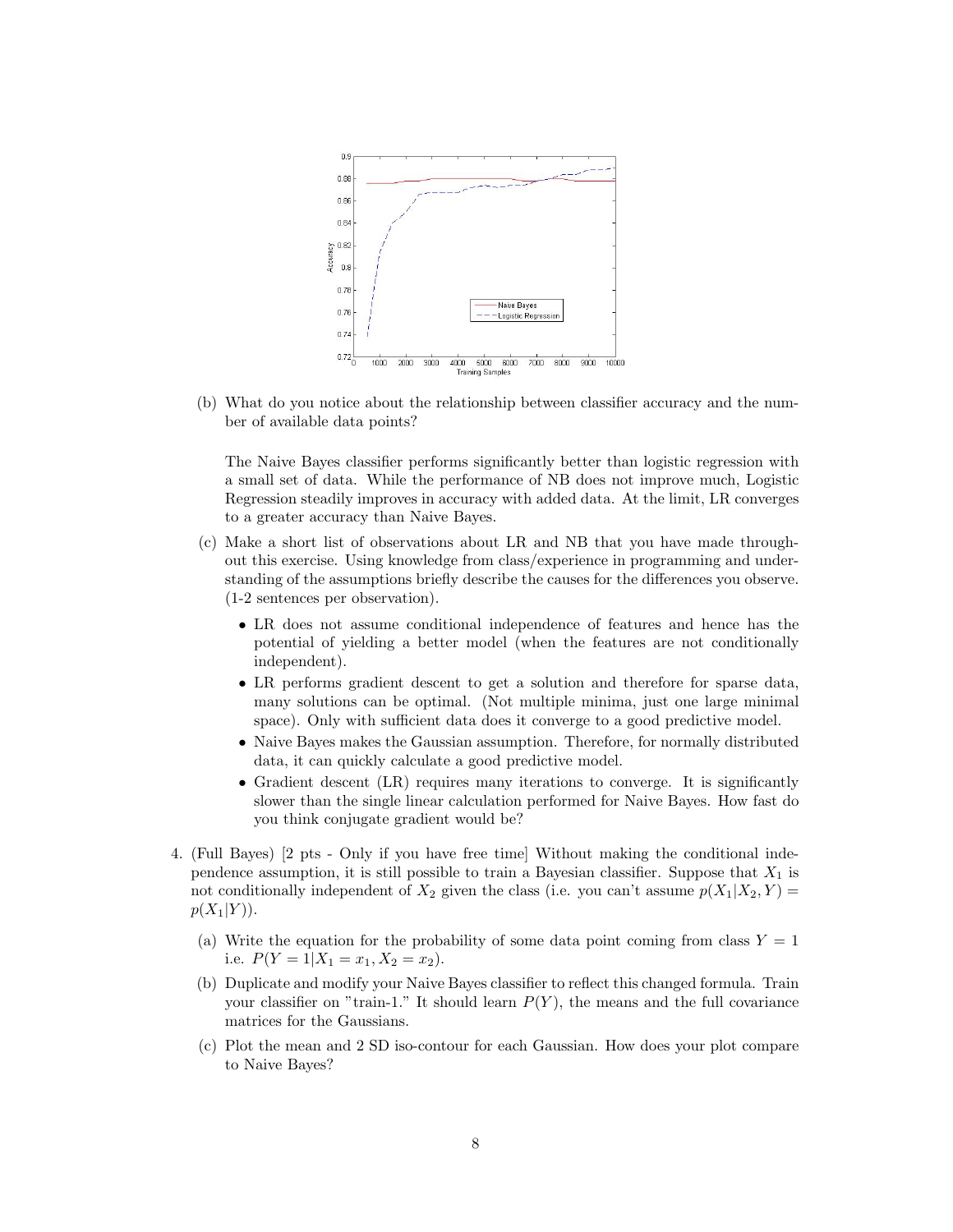

(b) What do you notice about the relationship between classifier accuracy and the number of available data points?

The Naive Bayes classifier performs significantly better than logistic regression with a small set of data. While the performance of NB does not improve much, Logistic Regression steadily improves in accuracy with added data. At the limit, LR converges to a greater accuracy than Naive Bayes.

- (c) Make a short list of observations about LR and NB that you have made throughout this exercise. Using knowledge from class/experience in programming and understanding of the assumptions briefly describe the causes for the differences you observe. (1-2 sentences per observation).
	- LR does not assume conditional independence of features and hence has the potential of yielding a better model (when the features are not conditionally independent).
	- LR performs gradient descent to get a solution and therefore for sparse data, many solutions can be optimal. (Not multiple minima, just one large minimal space). Only with sufficient data does it converge to a good predictive model.
	- Naive Bayes makes the Gaussian assumption. Therefore, for normally distributed data, it can quickly calculate a good predictive model.
	- Gradient descent (LR) requires many iterations to converge. It is significantly slower than the single linear calculation performed for Naive Bayes. How fast do you think conjugate gradient would be?
- 4. (Full Bayes) [2 pts Only if you have free time] Without making the conditional independence assumption, it is still possible to train a Bayesian classifier. Suppose that  $X_1$  is not conditionally independent of  $X_2$  given the class (i.e. you can't assume  $p(X_1|X_2, Y)$  =  $p(X_1|Y)$ ).
	- (a) Write the equation for the probability of some data point coming from class  $Y = 1$ i.e.  $P(Y = 1 | X_1 = x_1, X_2 = x_2).$
	- (b) Duplicate and modify your Naive Bayes classifier to reflect this changed formula. Train your classifier on "train-1." It should learn  $P(Y)$ , the means and the full covariance matrices for the Gaussians.
	- (c) Plot the mean and 2 SD iso-contour for each Gaussian. How does your plot compare to Naive Bayes?